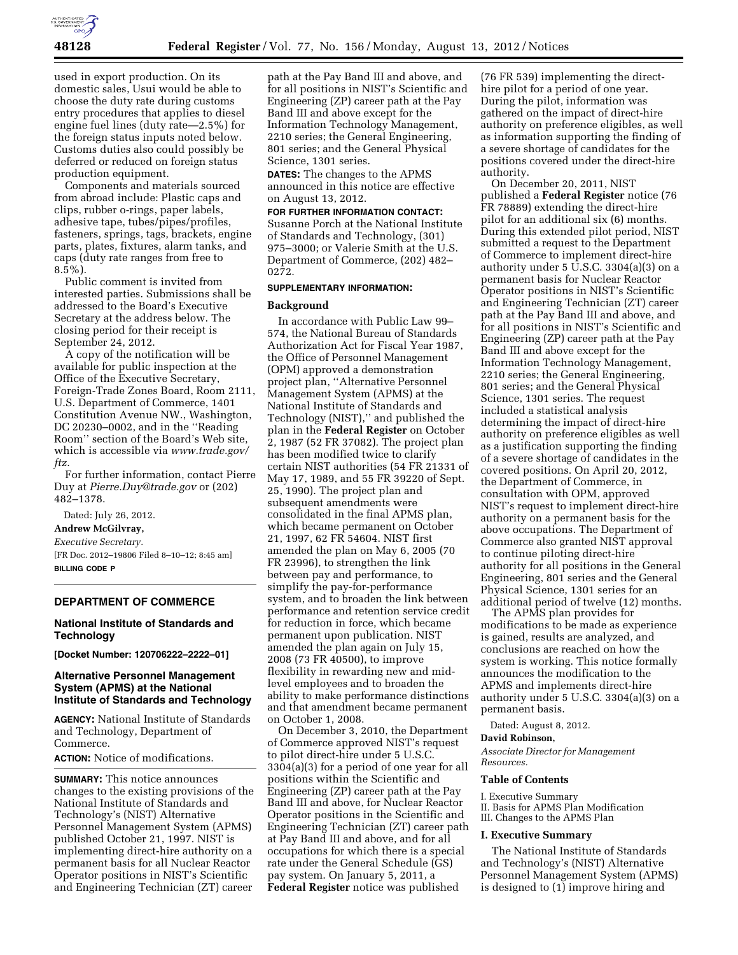

used in export production. On its domestic sales, Usui would be able to choose the duty rate during customs entry procedures that applies to diesel engine fuel lines (duty rate—2.5%) for the foreign status inputs noted below. Customs duties also could possibly be deferred or reduced on foreign status production equipment.

Components and materials sourced from abroad include: Plastic caps and clips, rubber o-rings, paper labels, adhesive tape, tubes/pipes/profiles, fasteners, springs, tags, brackets, engine parts, plates, fixtures, alarm tanks, and caps (duty rate ranges from free to  $8.5\%$ ).

Public comment is invited from interested parties. Submissions shall be addressed to the Board's Executive Secretary at the address below. The closing period for their receipt is September 24, 2012.

A copy of the notification will be available for public inspection at the Office of the Executive Secretary, Foreign-Trade Zones Board, Room 2111, U.S. Department of Commerce, 1401 Constitution Avenue NW., Washington, DC 20230–0002, and in the ''Reading Room'' section of the Board's Web site, which is accessible via *[www.trade.gov/](http://www.trade.gov/ftz) [ftz.](http://www.trade.gov/ftz)* 

For further information, contact Pierre Duy at *[Pierre.Duy@trade.gov](mailto:Pierre.Duy@trade.gov)* or (202) 482–1378.

Dated: July 26, 2012.

**Andrew McGilvray,** 

*Executive Secretary.*  [FR Doc. 2012–19806 Filed 8–10–12; 8:45 am]

**BILLING CODE P** 

### **DEPARTMENT OF COMMERCE**

## **National Institute of Standards and Technology**

**[Docket Number: 120706222–2222–01]** 

## **Alternative Personnel Management System (APMS) at the National Institute of Standards and Technology**

**AGENCY:** National Institute of Standards and Technology, Department of Commerce.

**ACTION:** Notice of modifications.

**SUMMARY:** This notice announces changes to the existing provisions of the National Institute of Standards and Technology's (NIST) Alternative Personnel Management System (APMS) published October 21, 1997. NIST is implementing direct-hire authority on a permanent basis for all Nuclear Reactor Operator positions in NIST's Scientific and Engineering Technician (ZT) career

path at the Pay Band III and above, and for all positions in NIST's Scientific and Engineering (ZP) career path at the Pay Band III and above except for the Information Technology Management, 2210 series; the General Engineering, 801 series; and the General Physical Science, 1301 series.

**DATES:** The changes to the APMS announced in this notice are effective on August 13, 2012.

# **FOR FURTHER INFORMATION CONTACT:**  Susanne Porch at the National Institute of Standards and Technology, (301) 975–3000; or Valerie Smith at the U.S.

Department of Commerce, (202) 482– 0272.

### **SUPPLEMENTARY INFORMATION:**

### **Background**

In accordance with Public Law 99– 574, the National Bureau of Standards Authorization Act for Fiscal Year 1987, the Office of Personnel Management (OPM) approved a demonstration project plan, ''Alternative Personnel Management System (APMS) at the National Institute of Standards and Technology (NIST),'' and published the plan in the **Federal Register** on October 2, 1987 (52 FR 37082). The project plan has been modified twice to clarify certain NIST authorities (54 FR 21331 of May 17, 1989, and 55 FR 39220 of Sept. 25, 1990). The project plan and subsequent amendments were consolidated in the final APMS plan, which became permanent on October 21, 1997, 62 FR 54604. NIST first amended the plan on May 6, 2005 (70 FR 23996), to strengthen the link between pay and performance, to simplify the pay-for-performance system, and to broaden the link between performance and retention service credit for reduction in force, which became permanent upon publication. NIST amended the plan again on July 15, 2008 (73 FR 40500), to improve flexibility in rewarding new and midlevel employees and to broaden the ability to make performance distinctions and that amendment became permanent on October 1, 2008.

On December 3, 2010, the Department of Commerce approved NIST's request to pilot direct-hire under 5 U.S.C. 3304(a)(3) for a period of one year for all positions within the Scientific and Engineering (ZP) career path at the Pay Band III and above, for Nuclear Reactor Operator positions in the Scientific and Engineering Technician (ZT) career path at Pay Band III and above, and for all occupations for which there is a special rate under the General Schedule (GS) pay system. On January 5, 2011, a **Federal Register** notice was published

(76 FR 539) implementing the directhire pilot for a period of one year. During the pilot, information was gathered on the impact of direct-hire authority on preference eligibles, as well as information supporting the finding of a severe shortage of candidates for the positions covered under the direct-hire authority.

On December 20, 2011, NIST published a **Federal Register** notice (76 FR 78889) extending the direct-hire pilot for an additional six (6) months. During this extended pilot period, NIST submitted a request to the Department of Commerce to implement direct-hire authority under 5 U.S.C. 3304(a)(3) on a permanent basis for Nuclear Reactor Operator positions in NIST's Scientific and Engineering Technician (ZT) career path at the Pay Band III and above, and for all positions in NIST's Scientific and Engineering (ZP) career path at the Pay Band III and above except for the Information Technology Management, 2210 series; the General Engineering, 801 series; and the General Physical Science, 1301 series. The request included a statistical analysis determining the impact of direct-hire authority on preference eligibles as well as a justification supporting the finding of a severe shortage of candidates in the covered positions. On April 20, 2012, the Department of Commerce, in consultation with OPM, approved NIST's request to implement direct-hire authority on a permanent basis for the above occupations. The Department of Commerce also granted NIST approval to continue piloting direct-hire authority for all positions in the General Engineering, 801 series and the General Physical Science, 1301 series for an additional period of twelve (12) months.

The APMS plan provides for modifications to be made as experience is gained, results are analyzed, and conclusions are reached on how the system is working. This notice formally announces the modification to the APMS and implements direct-hire authority under 5 U.S.C. 3304(a)(3) on a permanent basis.

Dated: August 8, 2012.

### **David Robinson,**

*Associate Director for Management Resources.* 

#### **Table of Contents**

I. Executive Summary

II. Basis for APMS Plan Modification III. Changes to the APMS Plan

#### **I. Executive Summary**

The National Institute of Standards and Technology's (NIST) Alternative Personnel Management System (APMS) is designed to (1) improve hiring and